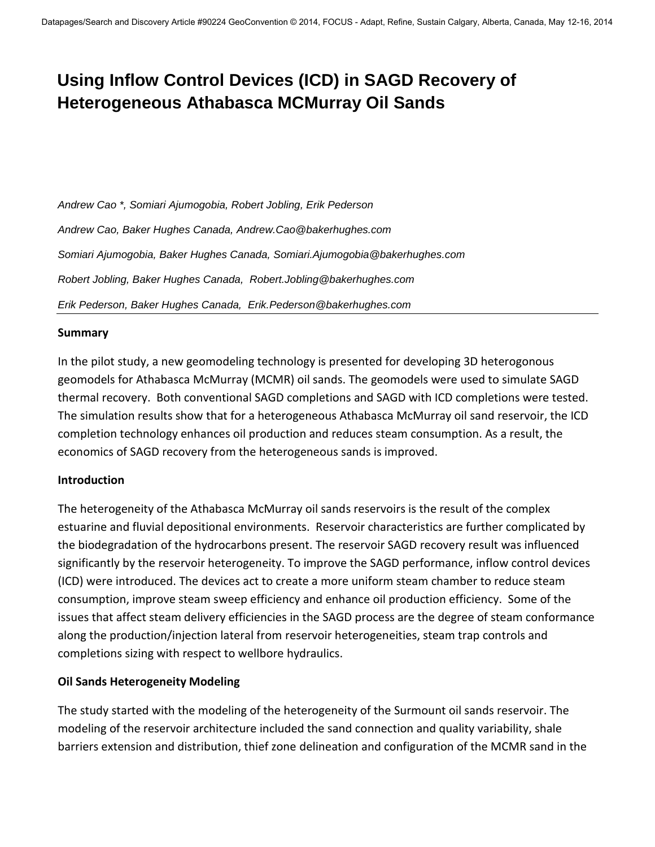# **Using Inflow Control Devices (ICD) in SAGD Recovery of Heterogeneous Athabasca MCMurray Oil Sands**

*Andrew Cao \*, Somiari Ajumogobia, Robert Jobling, Erik Pederson Andrew Cao, Baker Hughes Canada, Andrew.Cao@bakerhughes.com Somiari Ajumogobia, Baker Hughes Canada, Somiari.Ajumogobia@bakerhughes.com Robert Jobling, Baker Hughes Canada, Robert.Jobling@bakerhughes.com Erik Pederson, Baker Hughes Canada, Erik.Pederson@bakerhughes.com* 

### **Summary**

In the pilot study, a new geomodeling technology is presented for developing 3D heterogonous geomodels for Athabasca McMurray (MCMR) oil sands. The geomodels were used to simulate SAGD thermal recovery. Both conventional SAGD completions and SAGD with ICD completions were tested. The simulation results show that for a heterogeneous Athabasca McMurray oil sand reservoir, the ICD completion technology enhances oil production and reduces steam consumption. As a result, the economics of SAGD recovery from the heterogeneous sands is improved.

#### **Introduction**

The heterogeneity of the Athabasca McMurray oil sands reservoirs is the result of the complex estuarine and fluvial depositional environments. Reservoir characteristics are further complicated by the biodegradation of the hydrocarbons present. The reservoir SAGD recovery result was influenced significantly by the reservoir heterogeneity. To improve the SAGD performance, inflow control devices (ICD) were introduced. The devices act to create a more uniform steam chamber to reduce steam consumption, improve steam sweep efficiency and enhance oil production efficiency. Some of the issues that affect steam delivery efficiencies in the SAGD process are the degree of steam conformance along the production/injection lateral from reservoir heterogeneities, steam trap controls and completions sizing with respect to wellbore hydraulics.

### **Oil Sands Heterogeneity Modeling**

The study started with the modeling of the heterogeneity of the Surmount oil sands reservoir. The modeling of the reservoir architecture included the sand connection and quality variability, shale barriers extension and distribution, thief zone delineation and configuration of the MCMR sand in the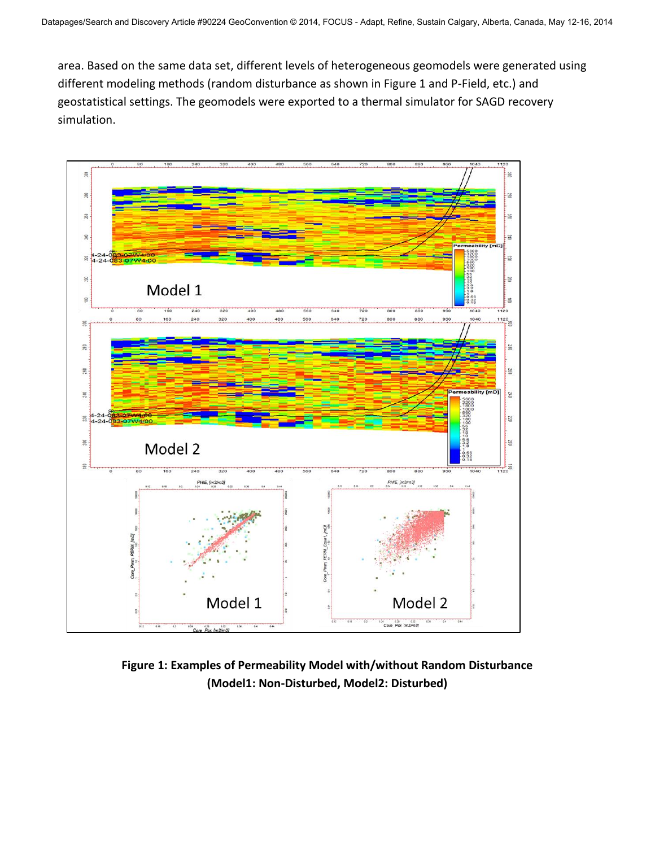area. Based on the same data set, different levels of heterogeneous geomodels were generated using different modeling methods (random disturbance as shown in Figure 1 and P-Field, etc.) and geostatistical settings. The geomodels were exported to a thermal simulator for SAGD recovery simulation.



**Figure 1: Examples of Permeability Model with/without Random Disturbance (Model1: Non-Disturbed, Model2: Disturbed)**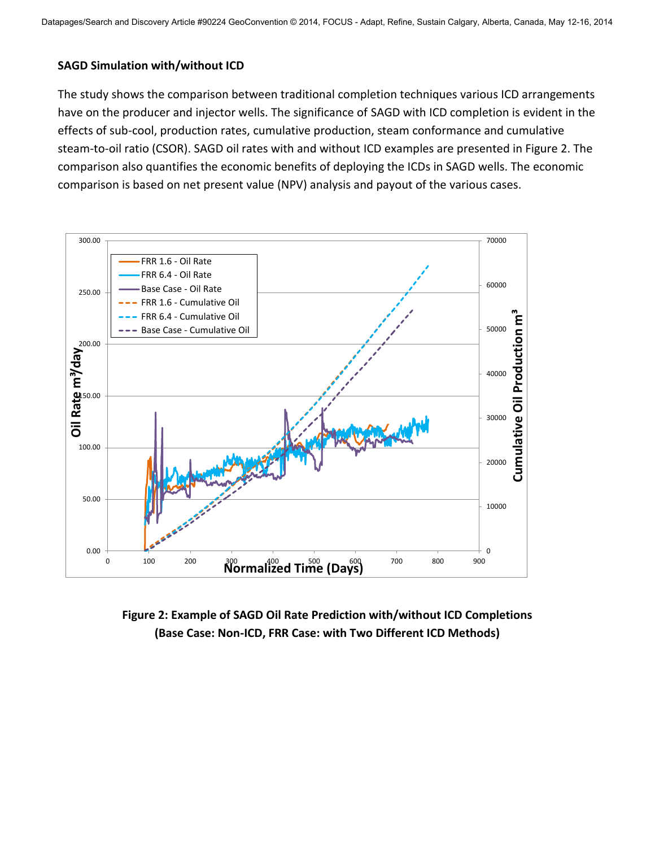### **SAGD Simulation with/without ICD**

The study shows the comparison between traditional completion techniques various ICD arrangements have on the producer and injector wells. The significance of SAGD with ICD completion is evident in the effects of sub-cool, production rates, cumulative production, steam conformance and cumulative steam-to-oil ratio (CSOR). SAGD oil rates with and without ICD examples are presented in Figure 2. The comparison also quantifies the economic benefits of deploying the ICDs in SAGD wells. The economic comparison is based on net present value (NPV) analysis and payout of the various cases.



**Figure 2: Example of SAGD Oil Rate Prediction with/without ICD Completions (Base Case: Non-ICD, FRR Case: with Two Different ICD Methods)**